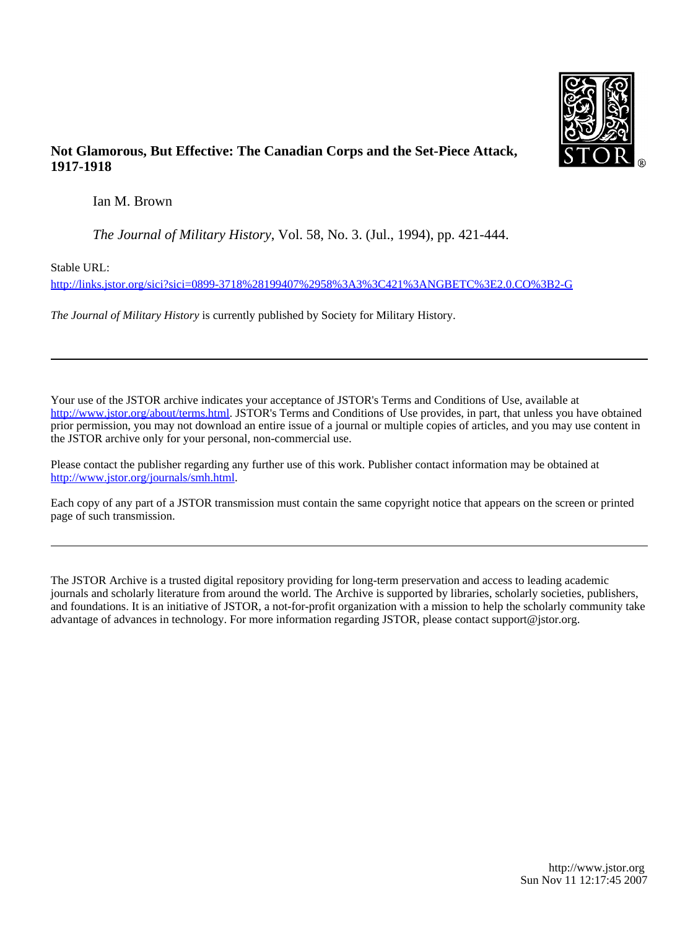

## **Not Glamorous, But Effective: The Canadian Corps and the Set-Piece Attack, 1917-1918**

Ian M. Brown

*The Journal of Military History*, Vol. 58, No. 3. (Jul., 1994), pp. 421-444.

Stable URL:

<http://links.jstor.org/sici?sici=0899-3718%28199407%2958%3A3%3C421%3ANGBETC%3E2.0.CO%3B2-G>

*The Journal of Military History* is currently published by Society for Military History.

Your use of the JSTOR archive indicates your acceptance of JSTOR's Terms and Conditions of Use, available at [http://www.jstor.org/about/terms.html.](http://www.jstor.org/about/terms.html) JSTOR's Terms and Conditions of Use provides, in part, that unless you have obtained prior permission, you may not download an entire issue of a journal or multiple copies of articles, and you may use content in the JSTOR archive only for your personal, non-commercial use.

Please contact the publisher regarding any further use of this work. Publisher contact information may be obtained at <http://www.jstor.org/journals/smh.html>.

Each copy of any part of a JSTOR transmission must contain the same copyright notice that appears on the screen or printed page of such transmission.

The JSTOR Archive is a trusted digital repository providing for long-term preservation and access to leading academic journals and scholarly literature from around the world. The Archive is supported by libraries, scholarly societies, publishers, and foundations. It is an initiative of JSTOR, a not-for-profit organization with a mission to help the scholarly community take advantage of advances in technology. For more information regarding JSTOR, please contact support@jstor.org.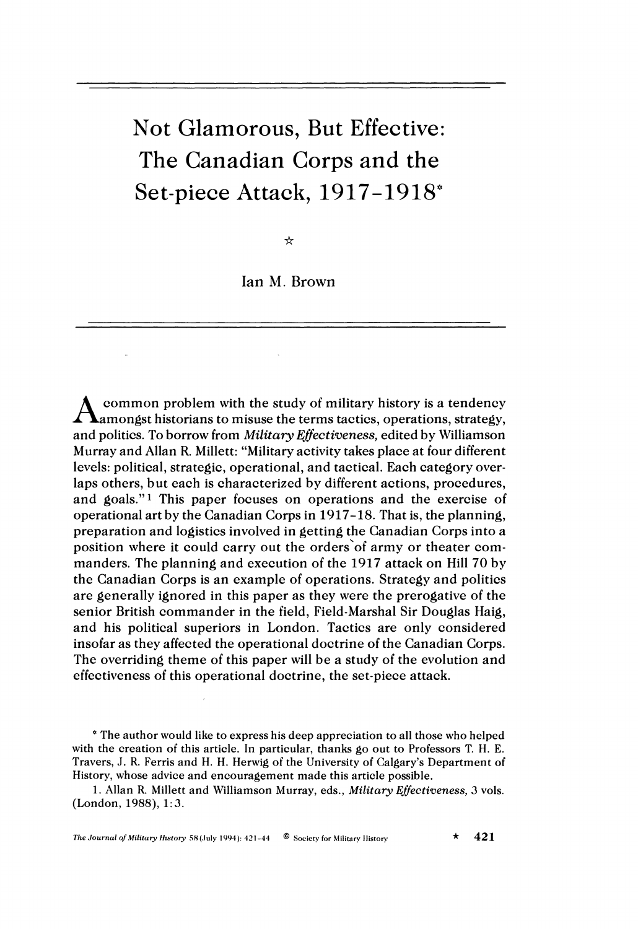# Not Glamorous, But Effective: The Canadian Corps and the Set-piece Attack, 1917-1918"

☆

Ian M. Brown

common problem with the study of military history is a tendency amongst historians to misuse the terms tactics, operations, strategy, and politics. To borrow from *Military Effectiveness,* edited by Williamson Murray and Allan R. Millett: "Military activity takes place at four different levels: political, strategic, operational, and tactical. Each category overlaps others, but each is characterized by different actions, procedures, and goals."l This paper focuses on operations and the exercise of operational art by the Canadian Corps in 1917-18. That is, the planning, preparation and logistics involved in getting the Canadian Corps into a position where it could carry out the orders'of army or theater commanders. The planning and execution of the 1917 attack on Hill 70 by the Canadian Corps is an example of operations. Strategy and politics are generally ignored in this paper as they were the prerogative of the senior British commander in the field, Field-Marshal Sir Douglas Haig, and his political superiors in London. Tactics are only considered insofar as they affected the operational doctrine of the Canadian Corps. The overriding theme of this paper will be a study of the evolution and effectiveness of this operational doctrine, the set-piece attack.

\* The author would like to express his deep appreciation to all those who helped with the creation of this article. In particular, thanks go out to Professors T. H. E. Travers, J. R. Ferris and H. H. Herwig of the University of Calgary's Department of History, whose advice and encouragement made this article possible.

1. Allan R. Millett and Williamson Murray, eds., *Military Effectiveness*, 3 vols. (London, 1988), 1:3.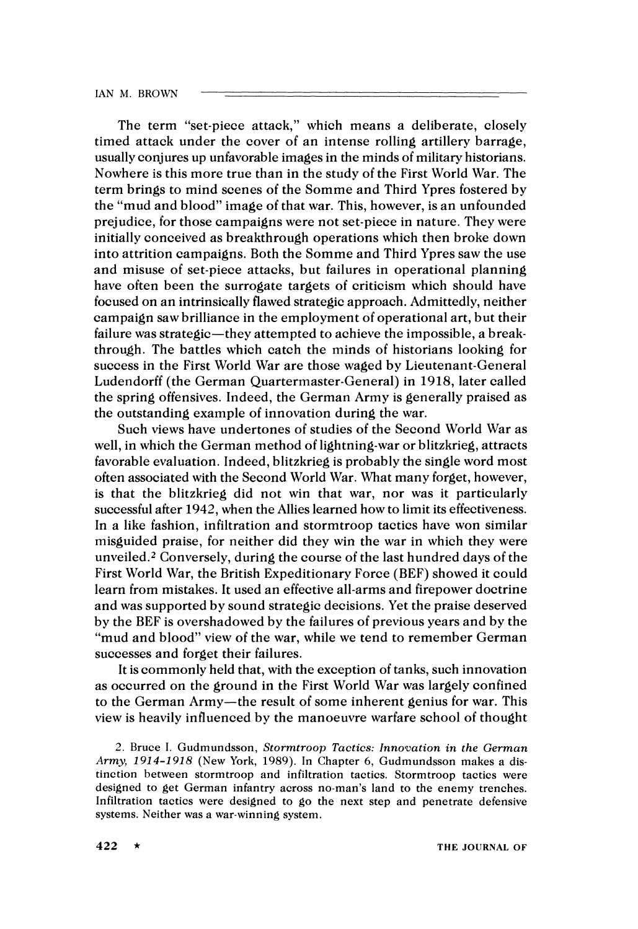The term "set-piece attack," which means a deliberate, closely timed attack under the cover of an intense rolling artillery barrage, usually conjures up unfavorable images in the minds of military historians. Nowhere is this more true than in the study of the First World War. The term brings to mind scenes of the Somme and Third Ypres fostered by the "mud and blood" image of that war. This, however, is an unfounded prejudice, for those campaigns were not set-piece in nature. They were initially conceived as breakthrough operations which then broke down into attrition campaigns. Both the Somme and Third Ypres saw the use and misuse of set-piece attacks, but failures in operational planning have often been the surrogate targets of criticism which should have focused on an intrinsically flawed strategic approach. Admittedly, neither campaign saw brilliance in the employment of operational art, but their failure was strategic—they attempted to achieve the impossible, a breakthrough. The battles which catch the minds of historians looking for success in the First World War are those waged by Lieutenant-General Ludendorff (the German Quartermaster-General) in 1918, later called the spring offensives. Indeed, the German Army is generally praised as the outstanding example of innovation during the war.

Such views have undertones of studies of the Second World War as well, in which the German method of lightning-war or blitzkrieg, attracts favorable evaluation. Indeed, blitzkrieg is probably the single word most often associated with the Second World War. What many forget, however, is that the blitzkrieg did not win that war, nor was it particularly successful after 1942, when the Allies learned how to limit its effectiveness. In a like fashion, infiltration and stormtroop tactics have won similar misguided praise, for neither did they win the war in which they were unveiled.2 Conversely, during the course of the last hundred days of the First World War, the British Expeditionary Force (BEF) showed it could learn from mistakes. It used an effective all-arms and firepower doctrine and was supported by sound strategic decisions. Yet the praise deserved by the BEF is overshadowed by the failures of previous years and by the "mud and blood" view of the war, while we tend to remember German successes and forget their failures.

It is commonly held that, with the exception of tanks, such innovation as occurred on the ground in the First World War was largely confined to the German Army-the result of some inherent genius for war. This view is heavily influenced by the manoeuvre warfare school of thought

2. Bruce I. Gudmundsson, Stormtroop Tactics: Innovation in the German Army, *1914-1918* (New York, *1989).* In Chapter 6, Gudmundsson makes a distinction between stormtroop and infiltration tactics. Stormtroop tactics were designed to get German infantry across no-man's land to the enemy trenches. Infiltration tactics were designed to go the next step and penetrate defensive systems. Neither was a war-winning system.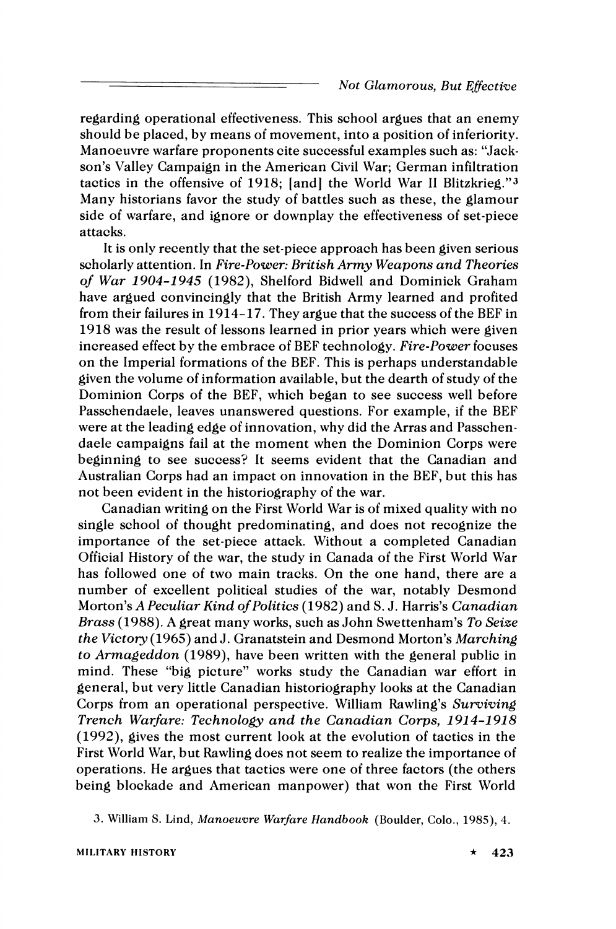regarding operational effectiveness. This school argues that an enemy should be placed, by means of movement, into a position of inferiority. Manoeuvre warfare proponents cite successful examples such as: "Jackson's Valley Campaign in the American Civil War; German infiltration tactics in the offensive of 1918; [and] the World War II Blitzkrieg."<sup>3</sup> Many historians favor the study of battles such as these, the glamour side of warfare, and ignore or downplay the effectiveness of set-piece attacks.

It is only recently that the set-piece approach has been given serious scholarly attention. In *Fire-Power: British Army Weapons and Theories of War 1904-1945* (1982), Shelford Bidwell and Dominick Graham have argued convincingly that the British Army learned and profited from their failures in 1914-17. They argue that the success of the BEF in 1918 was the result of lessons learned in prior years which were given increased effect by the embrace of BEF technology. *Fire-Power*focuses on the Imperial formations of the BEF. This is perhaps understandable given the volume of information available, but the dearth of study of the Dominion Corps of the BEF, which began to see success well before Passchendaele, leaves unanswered questions. For example, if the BEF were at the leading edge of innovation, why did the Arras and Passchendaele campaigns fail at the moment when the Dominion Corps were beginning to see success? It seems evident that the Canadian and Australian Corps had an impact on innovation in the BEF, but this has not been evident in the historiography of the war.

Canadian writing on the First World War is of mixed quality with no single school of thought predominating, and does not recognize the importance of the set-piece attack. Without a completed Canadian Official History of the war, the study in Canada of the First World War has followed one of two main tracks. On the one hand, there are a number of excellent political studies of the war, notably Desmond Morton's *A Peculiar Kind of Politics* (1982) and S.J. Harris's *Canadian Brass* (1988). A great many works, such as John Swettenham's *To Seize the Victory* (1965) and J. Granatstein and Desmond Morton's *Marching to Armageddon* (1989), have been written with the general public in mind. These "big picture" works study the Canadian war effort in general, but very little Canadian historiography looks at the Canadian Corps from an operational perspective. William Rawling's *Surviving Trench Warfare: Technology and the Canadian Corps, 1914-1918* (1992), gives the most current look at the evolution of tactics in the First World War, but Rawling does not seem to realize the importance of operations. He argues that tactics were one of three factors (the others being blockade and American manpower) that won the First World

3. William S. Lind, Manoeuvre Warfare Handbook (Boulder, Colo., 1985), 4.

MILITARY HISTORY  $\star$  423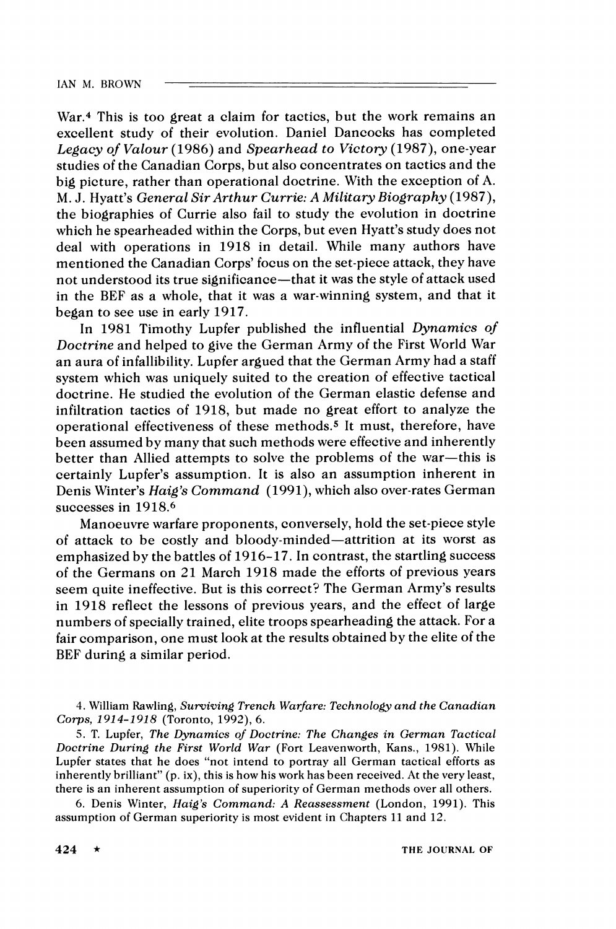War.<sup>4</sup> This is too great a claim for tactics, but the work remains an excellent study of their evolution. Daniel Dancocks has completed *Legacy* **of** *Valour* (1986) and *Spearhead to Victory* (1987), one-year studies of the Canadian Corps, but also concentrates on tactics and the big picture, rather than operational doctrine. With the exception of A. M. J. Hyatt's *General Sir Arthur Currie: A Military Biography* (1987), the biographies of Currie also fail to study the evolution in doctrine which he spearheaded within the Corps, but even Hyatt's study does not deal with operations in 1918 in detail. While many authors have mentioned the Canadian Corps' focus on the set-piece attack, they have not understood its true significance-that it was the style of attack used in the BEF as a whole, that it was a war-winning system, and that it began to see use in early 1917.

In 1981 Timothy Lupfer published the influential *Dynamics* **of**  *Doctrine* and helped to give the German Army of the First World War an aura of infallibility. Lupfer argued that the German Army had a staff system which was uniquely suited to the creation of effective tactical doctrine. He studied the evolution of the German elastic defense and infiltration tactics of 1918, but made no great effort to analyze the operational effectiveness of these methods.5 It must, therefore, have been assumed by many that such methods were effective and inherently better than Allied attempts to solve the problems of the war-this is certainly Lupfer's assumption. It is also an assumption inherent in Denis Winter's *Haig's Command* (1991), which also over-rates German successes in 1918.<sup>6</sup>

Manoeuvre warfare proponents, conversely, hold the set-piece style of attack to be costly and bloody-minded-attrition at its worst as emphasized by the battles of 1916-17. In contrast, the startling success of the Germans on 21 March 1918 made the efforts of previous years seem quite ineffective. But is this correct? The German Army's results in 1918 reflect the lessons of previous years, and the effect of large numbers of specially trained, elite troops spearheading the attack. For a fair comparison, one must look at the results obtained by the elite of the BEF during a similar period.

*5.* T. Lupfer, *The Dynamics of Doctrine: The Changes in German Tactical Doctrine During the First World War* (Fort Leavenworth, Kans., 1981). While Lupfer states that he does "not intend to portray all German tactical efforts as inherently brilliant" (p. ix), this is how his work has been received. At the very least, there is an inherent assumption of superiority of German methods over all others.

6. Denis Winter, *Haig's Command:* A *Reassessment* (London, 1991). This assumption of German superiority is most evident in Chapters 11and 12.

<sup>1.</sup>William Rawling, *Surviving Trench Warfare: Technology and the Canadian Corps, 1914-1 91*8 (Toronto, 1992), 6.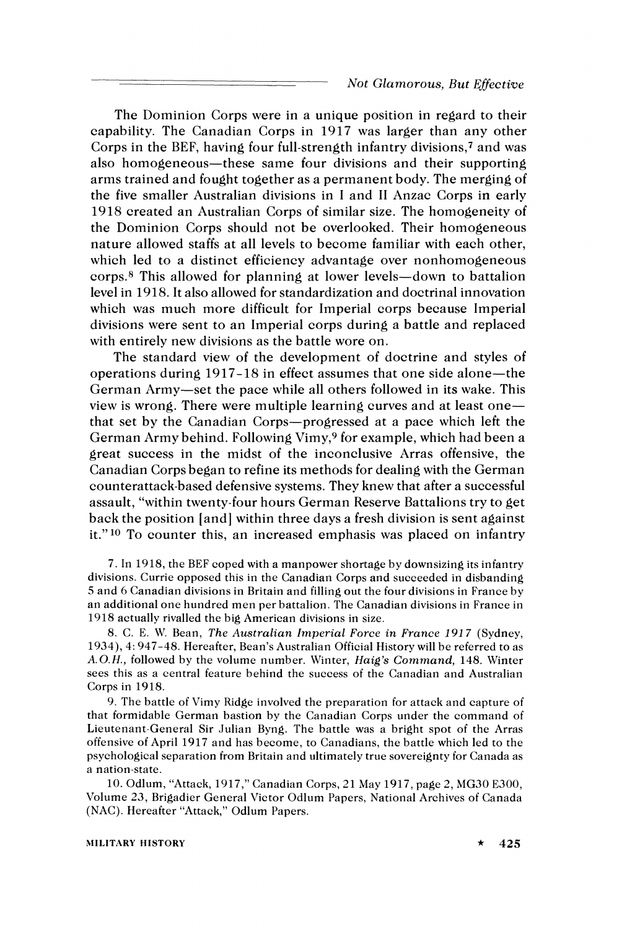The Dominion Corps were in a unique position in regard to their capability. The Canadian Corps in 1917 was larger than any other Corps in the BEF, having four full-strength infantry divisions,' and was also homogeneous-these same four divisions and their supporting arms trained and fought together as a permanent body. The merging of the five smaller Australian divisions in I and I1 Anzac Corps in early 1918 created an Australian Corps of similar size. The homogeneity of the Dominion Corps should not be overlooked. Their homogeneous nature allowed staffs at all levels to become familiar with each other, which led to a distinct efficiency advantage over nonhomogeneous corps.8 This allowed for planning at lower levels-down to battalion level in 1918. It also allowed for standardization and doctrinal innovation which was much more difficult for Imperial corps because Imperial divisions were sent to an Imperial corps during a battle and replaced with entirely new divisions as the battle wore on.

The standard view of the development of doctrine and styles of operations during 1917-18 in effect assumes that one side alone-the German Army-set the pace while all others followed in its wake. This view is wrong. There were multiple learning curves and at least onethat set by the Canadian Corps-progressed at a pace which left the German Army behind. Following Vimy,<sup>9</sup> for example, which had been a great success in the midst of the inconclusive Arras offensive, the Canadian Corps began to refine its methods for dealing with the German counterattack-based defensive systems. They knew that after a successful assault, "within twenty-four hours German Reserve Battalions try to get back the position [and] within three days a fresh division is sent against it."<sup>10</sup> To counter this, an increased emphasis was placed on infantry

7. In 1918, the BEF coped with a manpower shortage by downsizing its infantry divisions. Currie opposed this in the Canadian Corps and succeeded in disbanding *5* and 6 Canadian divisions in Britain and filling out the four divisions in France by an additional one hundred men per battalion. The Canadian divisions in France in 1018 actually rivalled the big American divisions in size.

8. C. E. \\'. Bean, The Australian Imperial Force in France 191**7** (Sydney, 1934), 4: 947-48. Hereafter, Bean's Australian Official History will be referred to as  $A.O.H.,$  followed by the volume number. Winter,  $Haig's \ Command$ , 148. Winter sees this as a central feature behind the success of the Canadian and Australian Corps in 1918.

9. The battle of Vimy Ridge involved the preparation for attack and capture of that formidable German bastion by the Canadian Corps under the command of Lieutenant-General Sir Julian Byng. The battle was a bright spot of the Arras offensive of April 1917 and has become, to Canadians, the battle which led to the psychological separation from Britain and ultimately true sovereignty for Canada as a nation-state.

10. Odlum, "Attack, 1917," Canadian Corps, 21 May 1917, page 2, MG30 E300, \blume 23, Brigadier General Victor Odlum Papers, National Archives of Canada (NAC). Hereafter "Attack," Odlum Papers.

#### **XIILITARY HISTORY** \* **425**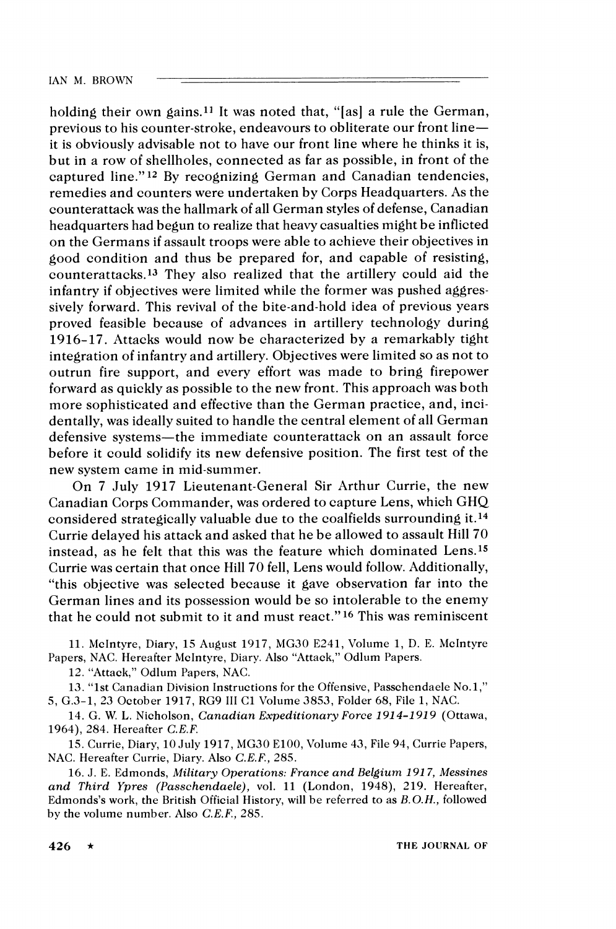holding their own gains.<sup>11</sup> It was noted that, "[as] a rule the German, previous to his counter-stroke, endeavours to obliterate our front lineit is obviously advisable not to have our front line where he thinks it is, but in a row of shellholes, connected as far as possible, in front of the captured line."<sup>12</sup> By recognizing German and Canadian tendencies, remedies and counters were undertaken by Corps Headquarters. As the counterattack was the hallmark of all German styles of defense, Canadian headquarters had begun to realize that heavy casualties might be inflicted on the Germans if assault troops were able to achieve their objectives in good condition and thus be prepared for, and capable of resisting, counterattacks.13 They also realized that the artillery could aid the infantry if objectives were limited while the former was pushed aggressively forward. This revival of the bite-and-hold idea of previous years proved feasible because of advances in artillery technology during 1916-17. Attacks would now be characterized by a remarkably tight integration of infantry and artillery. Objectives were limited so as not to outrun fire support, and every effort was made to bring firepower forward as quickly as possible to the new front. This approach was both more sophisticated and effective than the German practice, and, incidentally, was ideally suited to handle the central element of all German defensive systems-the immediate counterattack on an assault force before it could solidify its new defensive position. The first test of the new system came in mid-summer.

On 7 July 1917 Lieutenant-General Sir Arthur Currie, the new Canadian Corps Commander, was ordered to capture Lens, which GHQ considered strategically valuable due to the coalfields surrounding it.14 Currie delayed his attack and asked that he be allowed to assault Hill 70 instead, as he felt that this was the feature which dominated Lens.<sup>15</sup> Currie was certain that once Hill 70 fell, Lens would follow. Additionally, "this objective was selected because it gave observation far into the German lines and its possession would be so intolerable to the enemy that he could not submit to it and must react."l6 This was reminiscent

11. Melntyre, Diary, 15 August 1917, MG30 E241, Volume 1, D. E. Melntyre Papers, NAC. Hereafter McIntyre, Diary. Also "Attack," Odlum Papers.

12. "Attack," Odlum Papers, NAC.

13. "1st Canadian Division Instructions for the Offensive, Passchendaele No.1," 5, G.3-1, 23 October 1917, RG9 III C1 Volume 3853, Folder 68, File 1, NAC.

14. *G.* W. L. Nicholson, *Canadian Expeditionary Force 191 4-1 91 9* (Ottawa, 1964), 284. Hereafter *C.E.F.* 

15. Currie, Diary, 10 July 1917, MG30 E100, Volume 43, File 94, Currie Papers, NAC. Hereafter Currie, Diary. Also *C.E.F.,* 285.

16. J. E. Edmonds, *,Military Operations: France and Belgium 191 7, Messines and Third Ypres (Passchendaele),* vol. 11 (London, 1948), 219. Hereafter, Edmonds's work, the British Official History, will be referred to as *B.O.H.,* followed by the volume number. Also *C.E.F.,*285.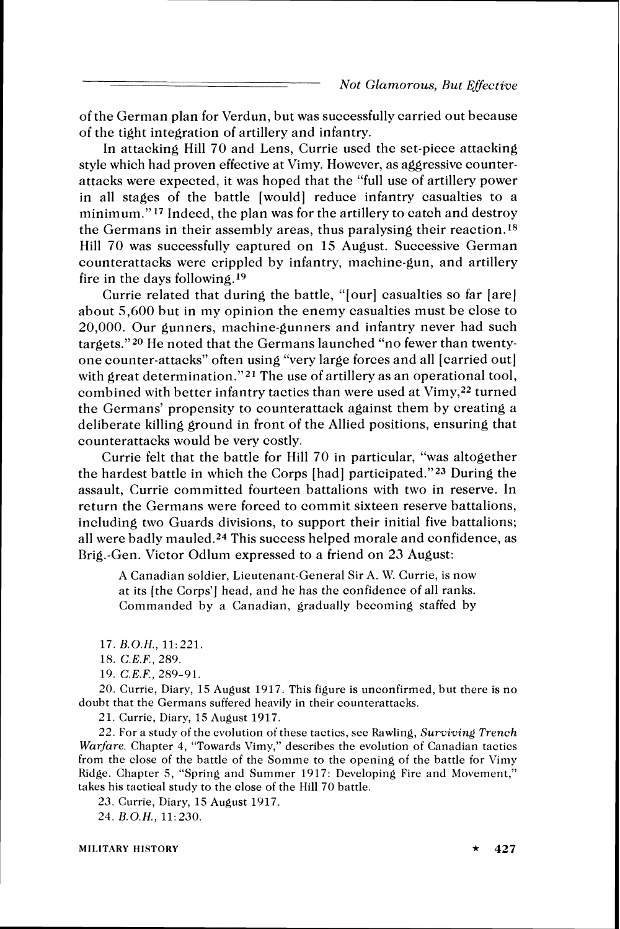of the German plan for Verdun, but was successfully carried out because of the tight integration of artillery and infantry.

In attacking Hill 70 and Lens, Currie used the set-piece attacking style which had proven effective at Vimy. However, as aggressive counterattacks were expected, it was hoped that the "full use of artillery power in all stages of the battle [would] reduce infantry casualties to a minimum."17 Indeed, the plan was for the artillery to catch and destroy the Germans in their assembly areas, thus paralysing their reaction.18 Hill 70 was successfully captured on 15 August. Successive German counterattacks were crippled by infantry, machine-gun, and artillery fire in the days following.19

Currie related that during the battle, "[our] casualties so far [are] about 5,600 but in my opinion the enemy casualties must be close to 20,000. Our gunners, machine-gunners and infantry never had such targets."20 He noted that the Germans launched "no fewer than twentyone counter-attacks" often using "very large forces and all [carried out] with great determination."<sup>21</sup> The use of artillery as an operational tool, combined with better infantry tactics than were used at  $V$ imy,<sup>22</sup> turned the Germans' propensity to counterattack against them by creating a deliberate killing ground in front of the Allied positions, ensuring that counterattacks would be very costly.

Currie felt that the battle for Hill 70 in particular, "was altogether the hardest battle in which the Corps [had] participated."23 During the assault, Currie committed fourteen battalions with two in reserve. In return the Germans were forced to commit sixteen reserve battalions, including two Guards divisions, to support their initial five battalions; all were badly mauled.24 This success helped morale and confidence, as Brig.-Gen. Victor Odlum expressed to a friend on 23 August:

A Canadian soldier, Lieutenant-General Sir A. W. Currie, is now at its [the Corps'] head, and he has the confidence of all ranks. Commanded by a Canadian, gradually becoming staffed by

17. *B.O.H.,* 11:221.

18. *C.E.F.,*289.

19. *C.E.F.,*289-91.

20. Currie, Diary, 15 August 1917. This figure is unconfirmed, but there is no doubt that the Germans suffered heavily in their counterattacks.

21. Currie, Diary, 15 August 1917.

22. For a study of the evolution of these tactics, see Rawling, *Surviving Trench Warfare.* Chapter *4,* "Towards Vimy," describes the evolution of Canadian tactics from the close of the battle of the Somme to the opening of the battle for Vimy Ridge. Chapter 5, "Spring and Summer 1917: Developing Fire and Movement," takes his tactical study to the close of the Hill 70 battle.

23. Currie, Diary, 15 August 1917.

24. *B.O.H.,* 11: 230.

**MILITARY HISTORY**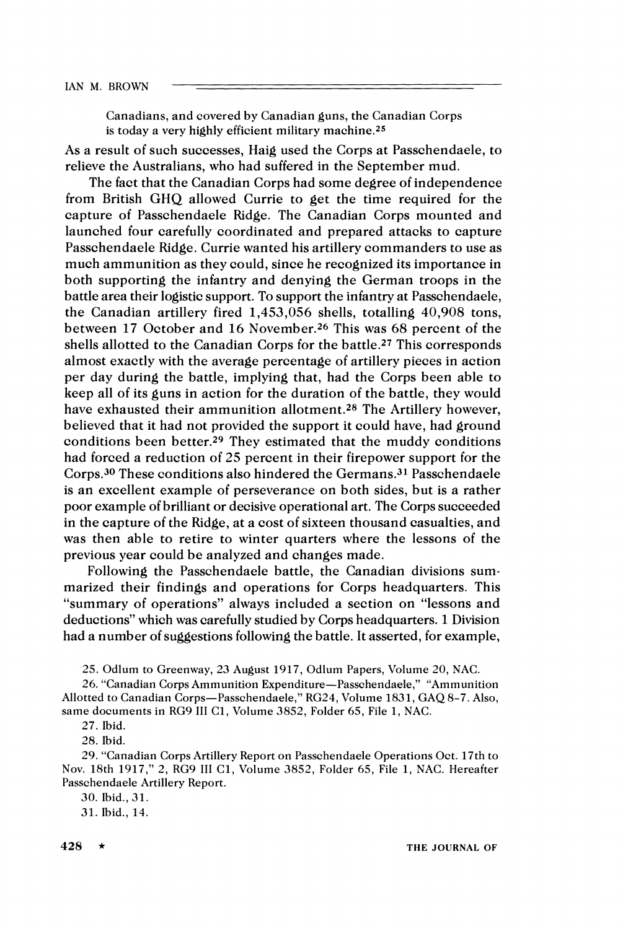Canadians, and covered by Canadian guns, the Canadian Corps is today a very highly efficient military machine.25

As a result of such successes, Haig used the Corps at Passchendaele, to relieve the Australians, who had suffered in the September mud.

The fact that the Canadian Corps had some degree of independence from British GHQ allowed Currie to get the time required for the capture of Passchendaele Ridge. The Canadian Corps mounted and launched four carefully coordinated and prepared attacks to capture Passchendaele Ridge. Currie wanted his artillery commanders to use as much ammunition as they could, since he recognized its importance in both supporting the infantry and denying the German troops in the battle area their logistic support. To support the infantry at Passchendaele, the Canadian artillery fired 1,453,056 shells, totalling 40,908 tons, between 17 October and 16 November.26 This was 68 percent of the shells allotted to the Canadian Corps for the battle.27 This corresponds almost exactly with the average percentage of artillery pieces in action per day during the battle, implying that, had the Corps been able to keep all of its guns in action for the duration of the battle, they would have exhausted their ammunition allotment.28 The Artillery however, believed that it had not provided the support it could have, had ground conditions been better.29 They estimated that the muddy conditions had forced a reduction of 25 percent in their firepower support for the Corps.30 These conditions also hindered the Germans.31 Passchendaele is an excellent example of perseverance on both sides, but is a rather poor example of brilliant or decisive operational art. The Corps succeeded in the capture of the Ridge, at a cost of sixteen thousand casualties, and was then able to retire to winter quarters where the lessons of the previous year could be analyzed and changes made.

Following the Passchendaele battle, the Canadian divisions summarized their findings and operations for Corps headquarters. This "summary of operations" always included a section on "lessons and deductions" which was carefully studied by Corps headquarters. 1 Division had a number of suggestions following the battle. It asserted, for example,

25. Odlum to Greenway, 23 August 1917, Odlum Papers, Volume 20, NAC.

26. "Canadian Corps Ammunition Expenditure-Passchendaele," "Ammunition Allotted to Canadian Corps-Passchendaele," RG24, Volume 1831, GAQ 8-7. Also, same documents in RG9 111 C1, Volume 3852, Folder 65, File 1, NAC.

27. Ibid.

28. Ibid.

29. "Canadian Corps Artillery Report on Passchendaele Operations Oct. 17th to Nov. 18th 1917," 2, RG9 111 C1, Volume 3852, Folder 65, File 1, NAC. Hereafter Passchendaele Artillery Report.

30. Ibid., 31.

31. Ibid., 14.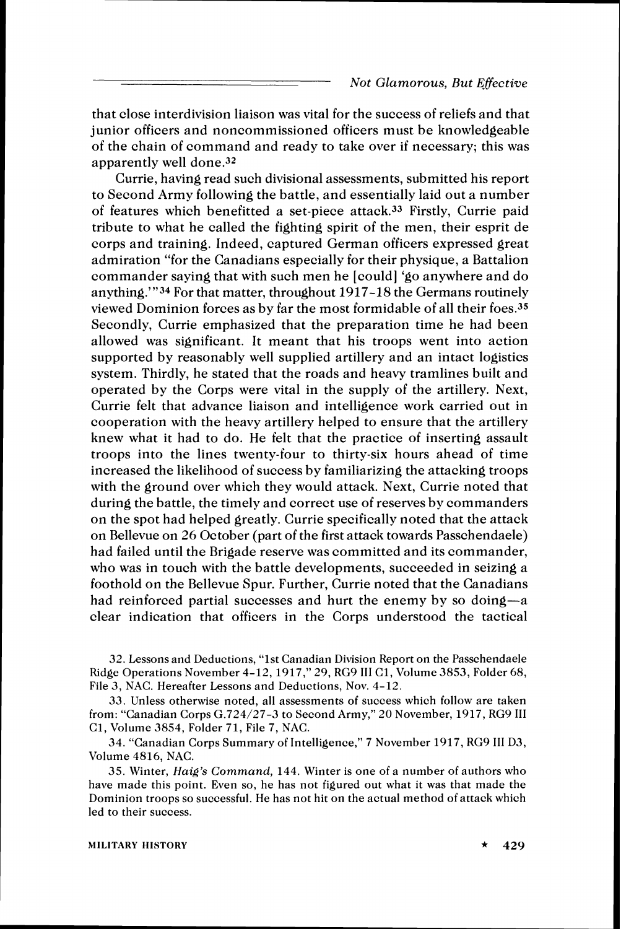that close interdivision liaison was vital for the success of reliefs and that junior officers and noncommissioned officers must be knowledgeable of the chain of command and ready to take over if necessary; this was apparently well done.32

Currie, having read such divisional assessments, submitted his report to Second Army following the battle, and essentially laid out a number of features which benefitted a set-piece attack.33 Firstly, Currie paid tribute to what he called the fighting spirit of the men, their esprit de corps and training. Indeed, captured German officers expressed great admiration "for the Canadians especially for their physique, a Battalion commander saying that with such men he [could] 'go anywhere and do anything."'34 For that matter, throughout 1917-18 the Germans routinely viewed Dominion forces as by far the most formidable of all their foes.35 Secondly, Currie emphasized that the preparation time he had been allowed was significant. It meant that his troops went into action supported by reasonably well supplied artillery and an intact logistics system. Thirdly, he stated that the roads and heavy tramlines built and operated by the Corps were vital in the supply of the artillery. Next, Currie felt that advance liaison and intelligence work carried out in cooperation with the heavy artillery helped to ensure that the artillery knew what it had to do. He felt that the practice of inserting assault troops into the lines twenty-four to thirty-six hours ahead of time increased the likelihood of success by familiarizing the attacking troops with the ground over which they would attack. Next, Currie noted that during the battle, the timely and correct use of reserves by commanders on the spot had helped greatly. Currie specifically noted that the attack on Bellevue on 26 October (part of the first attack towards Passchendaele) had failed until the Brigade reserve was committed and its commander, who was in touch with the battle developments, succeeded in seizing a foothold on the Bellevue Spur. Further, Currie noted that the Canadians had reinforced partial successes and hurt the enemy by so doing—a clear indication that officers in the Corps understood the tactical

32. Lessons and Deductions, "1st Canadian Division Report on the Passchendaele Ridge Operations November 4-12, 1917," 29, RG9 III C1, Volume 3853, Folder 68, File 3, NAC. Hereafter Lessons and Deductions, Nov. 4-12.

33. Unless otherwise noted, all assessments of success which follow are taken from: "Canadian Corps G.724/27-3 to Second Army," 20 November, 1917, RG9 111 C1, \'olume 3854, Folder 71, File 7, NAC.

34. "Canadian Corps Summary of Intelligence," 7 November 1917, RG9 I11 D3, Volume 4816, NAC.

35. Winter, *Haig's Command,* 144. Winter is one of a number of authors who have made this point. Even so, he has not figured out what it was that made the Dominion troops so successful. He has not hit on the actual method of attack which led to their success.

#### MILITARY HISTORY  $\star$  429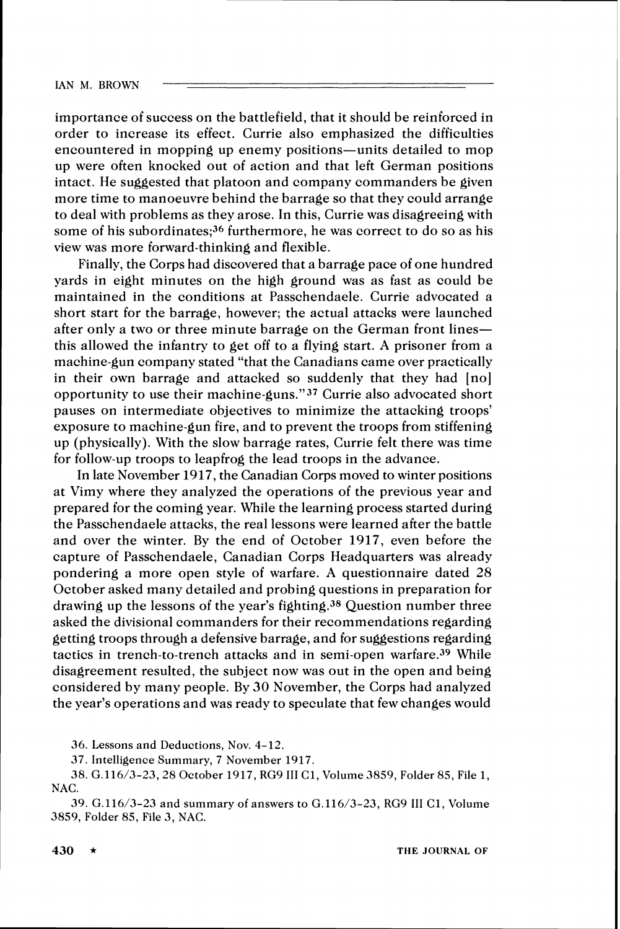importance of success on the battlefield, that it should be reinforced in order to increase its effect. Currie also emphasized the difficulties encountered in mopping up enemy positions-units detailed to mop up were often knocked out of action and that left German positions intact. He suggested that platoon and company commanders be given more time to manoeuvre behind the barrage so that they could arrange to deal with problems as they arose. In this, Currie was disagreeing with some of his subordinates;<sup>36</sup> furthermore, he was correct to do so as his view was more forward-thinking and flexible.

Finally, the Corps had discovered that a barrage pace of one hundred yards in eight minutes on the high ground was as fast as could be maintained in the conditions at Passchendaele. Currie advocated a short start for the barrage, however; the actual attacks were launched after only a two or three minute barrage on the German front lines this allowed the infantry to get off to a flying start. A prisoner from a machine-gun company stated "that the Canadians came over practically in their own barrage and attacked so suddenly that they had [no] opportunity to use their machine-guns."37 Currie also advocated short pauses on intermediate objectives to minimize the attacking troops' exposure to machine-gun fire, and to prevent the troops from stiffening up (physically). With the slow barrage rates, Currie felt there was time for follow-up troops to leapfrog the lead troops in the advance.

In late November 1917, the Canadian Corps moved to winter positions at Vimy where they analyzed the operations of the previous year and prepared for the coming year. While the learning process started during the Passchendaele attacks, the real lessons were learned after the battle and over the winter. By the end of October 1917, even before the capture of Passchendaele, Canadian Corps Headquarters was already pondering a more open style of warfare. A questionnaire dated 28 October asked many detailed and probing questions in preparation for drawing up the lessons of the year's fighting.38 Question number three asked the divisional commanders for their recommendations regarding getting troops through a defensive barrage, and for suggestions regarding tactics in trench-to-trench attacks and in semi-open warfare.39 While disagreement resulted, the subject now was out in the open and being considered by many people. By 30 November, the Corps had analyzed the year's operations and was ready to speculate that few changes would

**36.**Lessons and Deductions, Nov. **4-12.** 

**37.**Intelligence Summary, **7** November **1917.** 

**38.G.116/3-23,28** October **1917, RG9** 111**C1,**Volume **3859,**Folder **85,**File **1, NAC.** 

**39.G.116/3-23**and summary of answers to **G.116/3-23, RG9** 111 **C1,**Volume **3859,**Folder **85,**File **3, NAC.**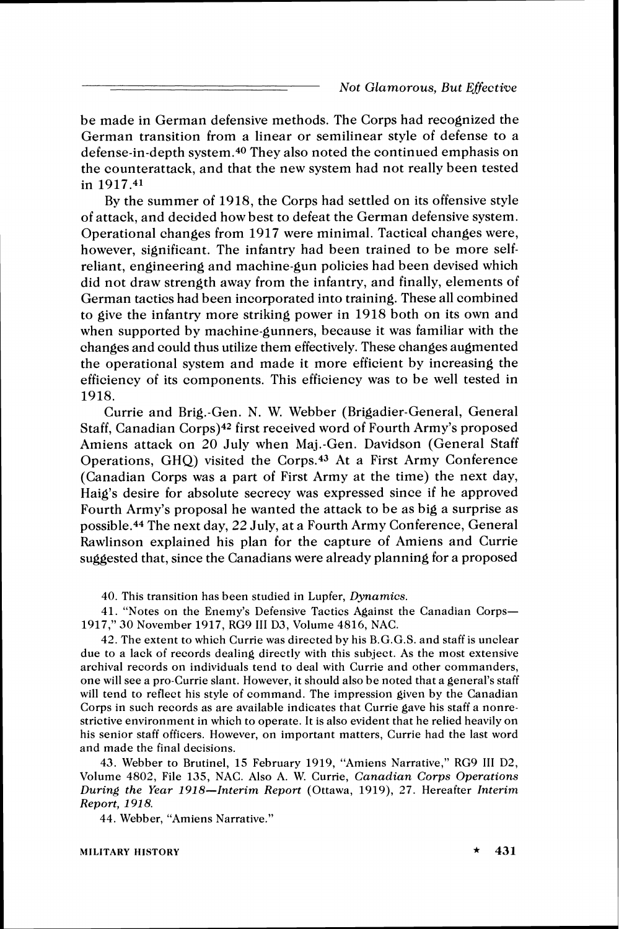be made in German defensive methods. The Corps had recognized the German transition from a linear or semilinear style of defense to a defense-in-depth system.40 They also noted the continued emphasis on the counterattack, and that the new system had not really been tested in 1917.41

By the summer of 1918, the Corps had settled on its offensive style of attack, and decided how best to defeat the German defensive system. Operational changes from 1917 were minimal. Tactical changes were, however, significant. The infantry had been trained to be more selfreliant, engineering and machine-gun policies had been devised which did not draw strength away from the infantry, and finally, elements of German tactics had been incorporated into training. These all combined to give the infantry more striking power in 1918 both on its own and when supported by machine-gunners, because it was familiar with the changes and could thus utilize them effectively. These changes augmented the operational system and made it more efficient by increasing the efficiency of its components. This efficiency was to be well tested in 1918.

Currie and Brig.-Gen. N. W. Webber (Brigadier-General, General Staff, Canadian Corps)42 first received word of Fourth Army's proposed Amiens attack on 20 July when Maj.-Gen. Davidson (General Staff Operations, GHQ) visited the Corps.43 At a First Army Conference (Canadian Corps was a part of First Army at the time) the next day, Haig's desire for absolute secrecy was expressed since if he approved Fourth Army's proposal he wanted the attack to be as big a surprise as possible.44 The next day, 22 July, at a Fourth Army Conference, General Rawlinson explained his plan for the capture of Amiens and Currie suggested that, since the Canadians were already planning for a proposed

40. This transition has been studied in Lupfer, Dynamics.

41. "Notes on the Enemy's Defensive Tactics Against the Canadian Corps-1917," 30 November 1917, RG9 I11 D3, Volume 4816, NAC.

42. The extent to which Currie was directed by his B.G.G.S. and staff is unclear due to a lack of records dealing directly with this subject. As the most extensive archival records on individuals tend to deal with Currie and other commanders, one will see a pro-Currie slant. However, it should also be noted that a general's staff will tend to reflect his style of command. The impression given by the Canadian Corps in such records as are available indicates that Currie gave his staff a nonrestrictive environment in which to operate. It is also evident that he relied heavily on his senior staff officers. However, on important matters, Currie had the last word and made the final decisions.

43. Webber to Brutinel, 15 February 1919, "Amiens Narrative," RG9 I11 D2, Volume 4802, File 135, NAC. Also A. W. Currie, Canadian Corps Operations During the Year 1918-Interim Report (Ottawa, 1919), 27. Hereafter Interim Report, 1918.

44. Webber, "Amiens Narrative."

hlILlTARY HISTORY \* **431**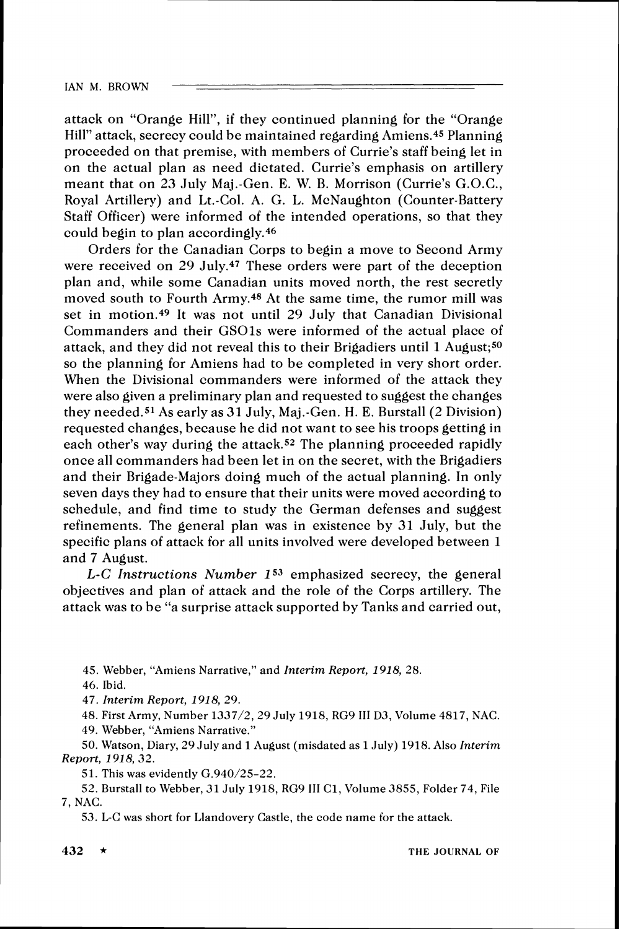attack on "Orange Hill", if they continued planning for the "Orange Hill" attack, secrecy could be maintained regarding Amiens.45 Planning proceeded on that premise, with members of Currie's staff being let in on the actual plan as need dictated. Currie's emphasis on artillery meant that on 23 July Maj.-Gen. E. W. B. Morrison (Currie's G.O.C., Royal Artillery) and Lt.-Col. A. G. L. McNaughton (Counter-Battery Staff Officer) were informed of the intended operations, so that they could begin to plan accordingly.46

Orders for the Canadian Corps to begin a move to Second Army were received on 29 July.<sup>47</sup> These orders were part of the deception plan and, while some Canadian units moved north, the rest secretly moved south to Fourth Army.48 At the same time, the rumor mill was set in motion.49 It was not until 29 July that Canadian Divisional Commanders and their GSOls were informed of the actual place of attack, and they did not reveal this to their Brigadiers until 1 August;<sup>50</sup> so the planning for Amiens had to be completed in very short order. When the Divisional commanders were informed of the attack they were also given a preliminary plan and requested to suggest the changes they needed.51 As early as **31** July, Maj.-Gen. H. E. Burstall (2 Division) requested changes, because he did not want to see his troops getting in each other's way during the attack.<sup>52</sup> The planning proceeded rapidly once all commanders had been let in on the secret, with the Brigadiers and their Brigade-Majors doing much of the actual planning. In only seven days they had to ensure that their units were moved according to schedule, and find time to study the German defenses and suggest refinements. The general plan was in existence by 31 July, but the specific plans of attack for all units involved were developed between 1 and 7 August.

L-C Instructions Number *153* emphasized secrecy, the general objectives and plan of attack and the role of the Corps artillery. The attack was to be "a surprise attack supported by Tanks and carried out,

**45.**Webber, "Amiens Narrative," and Interim Report, *1918,* **28.** 

**46.**Ibid.

**47.**Interim Report, *191 8,* **29.** 

**48.**First Army, Number **1337/2, 29** July **1918, RG9 I11 D3,**CTolume**4817,**NAC.

**49.**Webber, "Amiens Narrative."

**50.**Watson, Diary, **29** July and **1** August (misdated as **1**July) **1918.**Also Interim Report, *191 8,32.* 

**51.**This was evidently **G.940/25-22.** 

**52.**Burstall to Webber, **31** July **1918, RG9 I11** Cl, Volume **3855,**Folder **74,**File **7,**NAC.

**53.**L-C was short for Llandovery Castle, the code name for the attack.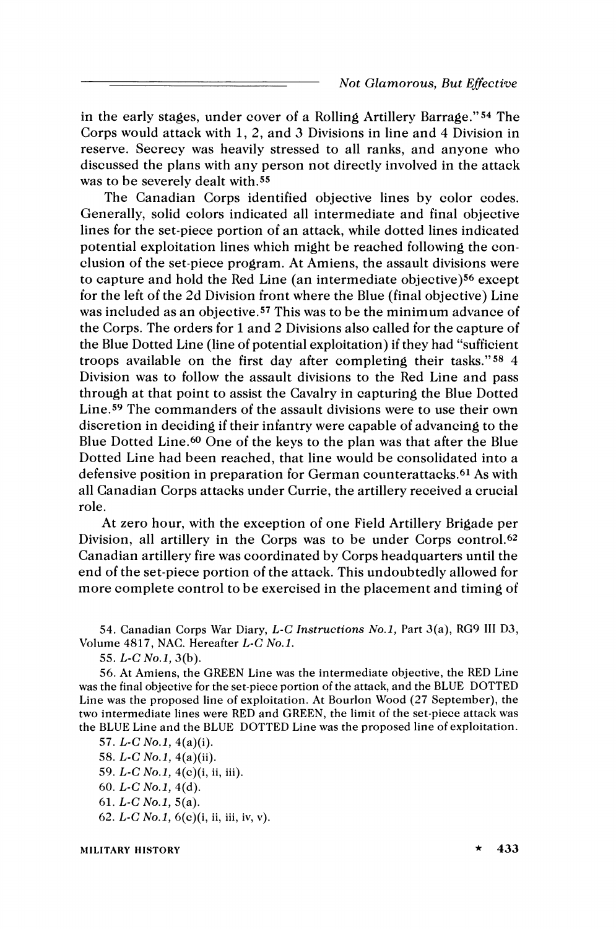in the early stages, under cover of a Rolling Artillery Barrage."54 The Corps would attack with 1, 2, and *3* Divisions in line and 4 Division in reserve. Secrecy was heavily stressed to all ranks, and anyone who discussed the plans with any person not directly involved in the attack was to be severely dealt with.55

The Canadian Corps identified objective lines by color codes. Generally, solid colors indicated all intermediate and final objective lines for the set-piece portion of an attack, while dotted lines indicated potential exploitation lines which might be reached following the conclusion of the set-piece program. At Amiens, the assault divisions were to capture and hold the Red Line (an intermediate objective)56 except for the left of the 2d Division front where the Blue (final objective) Line was included as an objective.<sup>57</sup> This was to be the minimum advance of the Corps. The orders for 1and 2 Divisions also called for the capture of the Blue Dotted Line (line of potential exploitation) if they had "sufficient troops available on the first day after completing their tasks."58 4 Division was to follow the assault divisions to the Red Line and pass through at that point to assist the Cavalry in capturing the Blue Dotted Line.59 The commanders of the assault divisions were to use their own discretion in deciding if their infantry were capable of advancing to the Blue Dotted Line.60 One of the keys to the plan was that after the Blue Dotted Line had been reached, that line would be consolidated into a defensive position in preparation for German counterattacks.61 As with all Canadian Corps attacks under Currie, the artillery received a crucial role.

At zero hour, with the exception of one Field Artillery Brigade per Division, all artillery in the Corps was to be under Corps control.<sup>62</sup> Canadian artillery fire was coordinated by Corps headquarters until the end of the set-piece portion of the attack. This undoubtedly allowed for more complete control to be exercised in the placement and timing of

54. Canadian Corps War Diary, *L-C* Instructions No.1, Part 3(a), RG9 I11 D3, Volume 4817, NAC. Hereafter *L-C* No.1.

55. *L-C* No.1, 3(b).

56. At Amiens, the GREEN Line was the intermediate objective, the RED Line was the final objective for the set-piece portion of the attack, and the BLUE DOTTED Line was the proposed line of exploitation. At Bourlon Wood (27 September), the two intermediate lines were RED and GREEN, the limit of the set-piece attack was the BLUE Line and the BLUE DOTTED Line was the proposed line of exploitation.

57. *L-C* No.1, 4(a)(i).

58. *L-C* No.1, 4(a)(ii).

59. *L-C* No.1, 4(c)(i, ii, iii).

60. *L-C* No.1, 4(d).

61. *L-C* No.1, 5(a).

62. *L-C* No.1, 6(c)(i, ii, iii, iv, v).

**MILITARY HISTORY**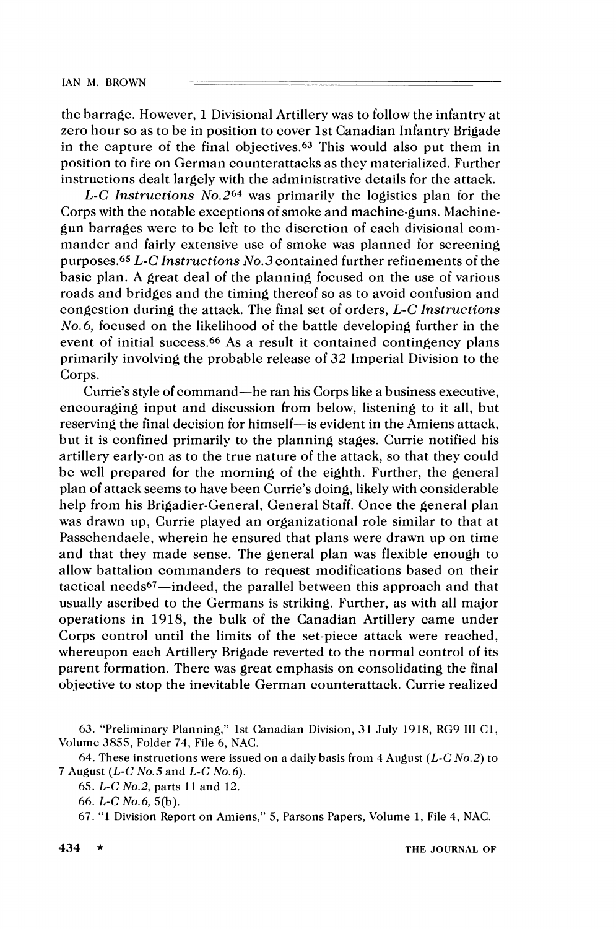**IAN** hl. BROWN

the barrage. However, 1Divisional Artillery was to follow the infantry at zero hour so as to be in position to cover 1st Canadian Infantry Brigade in the capture of the final objectives.63 This would also put them in position to fire on German counterattacks as they materialized. Further instructions dealt largely with the administrative details for the attack.

*L-C* lnstructions No.264 was primarily the logistics plan for the Corps with the notable exceptions of smoke and machine-guns. Machinegun barrages were to be left to the discretion of each divisional commander and fairly extensive use of smoke was planned for screening purposes.65 *L-C* Instructions No.3 contained further refinements of the basic plan. A great deal of the planning focused on the use of various roads and bridges and the timing thereof so as to avoid confusion and congestion during the attack. The final set of orders, *L-C* Instructions No.6, focused on the likelihood of the battle developing further in the event of initial success.<sup>66</sup> As a result it contained contingency plans primarily involving the probable release of 32 Imperial Division to the Corps.

Currie's style of command-he ran his Corps like a business executive, encouraging input and discussion from below, listening to it all, but reserving the final decision for himself-is evident in the Amiens attack, but it is confined primarily to the planning stages. Currie notified his artillery early-on as to the true nature of the attack, so that they could be well prepared for the morning of the eighth. Further, the general plan of attack seems to have been Currie's doing, likely with considerable help from his Brigadier-General, General Staff. Once the general plan was drawn up, Currie played an organizational role similar to that at Passchendaele, wherein he ensured that plans were drawn up on time and that they made sense. The general plan was flexible enough to allow battalion commanders to request modifications based on their tactical needs67-indeed, the parallel between this approach and that usually ascribed to the Germans is striking. Further, as with all major operations in 1918, the bulk of the Canadian Artillery came under Corps control until the limits of the set-piece attack were reached, whereupon each Artillery Brigade reverted to the normal control of its parent formation. There was great emphasis on consolidating the final objective to stop the inevitable German counterattack. Currie realized

*<sup>63.</sup>* "Preliminary Planning," 1st Canadian Division, *31* July *1918, RG9* I11 C1, Volume *3855,* Folder *74,* File *6,* NAC.

*<sup>64.</sup>* These instructions were issued on a daily basis from *4* August *(L-C No.2)* to *7* August *(L-C No.5* and *L-C No.6).* 

*<sup>65.</sup> L-C No.2,* parts *11* and 12.

*<sup>66.</sup> L-C No.6, 5(b).* 

*<sup>67. &</sup>quot;1* Division Report on Amiens," *5,* Parsons Papers, Volume *1,* File *4,* NAC.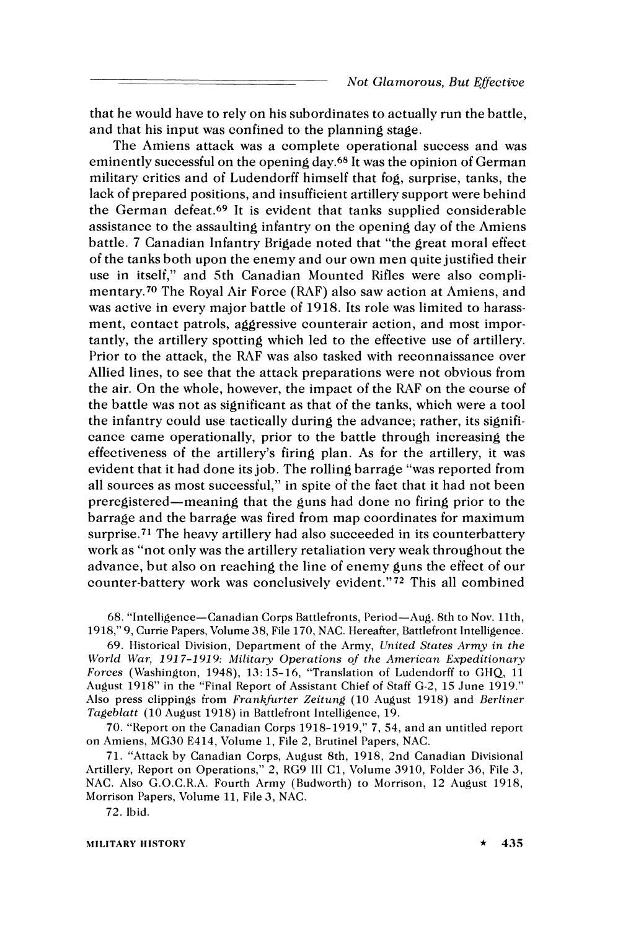that he would have to rely on his subordinates to actually run the battle, and that his input was confined to the planning stage.

The Amiens attack was a complete operational success and was eminently successful on the opening day.68 It was the opinion of German military critics and of Ludendorff himself that fog, surprise, tanks, the lack of prepared positions, and insufficient artillery support were behind the German defeat.69 It is evident that tanks supplied considerable assistance to the assaulting infantry on the opening day of the Amiens battle. **7** Canadian Infantry Brigade noted that "the great moral effect of the tanks both upon the enemy and our own men quite justified their use in itself," and 5th Canadian Mounted Rifles were also complimentary.70 The Royal Air Force (RAF) also saw action at Amiens, and was active in every major battle of 1918. Its role was limited to harassment, contact patrols, aggressive counterair action, and most importantly, the artillery spotting which led to the effective use of artillery. Prior to the attack, the RAF was also tasked with reconnaissance over Allied lines, to see that the attack preparations were not obvious from the air. On the whole, however, the impact of the RAF on the course of the battle was not as significant as that of the tanks, which were a tool the infantry could use tactically during the advance; rather, its significance came operationally, prior to the battle through increasing the effectiveness of the artillery's firing plan. As for the artillery, it was evident that it had done its job. The rolling barrage "was reported from all sources as most successful," in spite of the fact that it had not been preregistered-meaning that the guns had done no firing prior to the barrage and the barrage was fired from map coordinates for maximum surprise.<sup>71</sup> The heavy artillery had also succeeded in its counterbattery work as "not only was the artillery retaliation very weak throughout the advance, but also on reaching the line of enemy guns the effect of our counter-battery work was conclusively evident."<sup>72</sup> This all combined

68. "Intelligence-Canadian Corps Battlefronts, Period-Aug. 8th to Nov. llth, 1918," 9, Currie Papers, Volume 38, File 170, NAC. Hereafter, Battlefront Intelligence.

69. Historical Division, Department of the Army, United States Army in the World War, 1917-1919: Military Operations of the American Expeditionary Forces (Washington, 1948), 13: 15-16, "Translation of Ludendorff to GHQ, 11 August 1918" in the "Final Report of Assistant Chief of Staff G-2, 15 June 1919." Also press clippings from Frankfurter Zeitung (10 August 1918) and Berliner Tagebiatt (10 August 1918) in Battlefront Intelligence, 19.

70. "Report on the Canadian Corps 1918-1919," 7, 54, and an untitled report on Amiens, MG30 E414, Volume 1, File 2, Brutinel Papers, NAC.

71. "Attack by Canadian Corps, August 8th, 1918, 2nd Canadian Divisional Artillery, Report on Operations," 2, RG9 Ill C1, Volume 3910, Folder 36, File 3, NAC. Also G.O.C.R.A. Fourth Army (Budworth) to Morrison, 12 August 1918, Morrison Papers, Volume 11, File 3, NAC.

72. Ibid.

MILITARY HISTORY \* **<sup>435</sup>**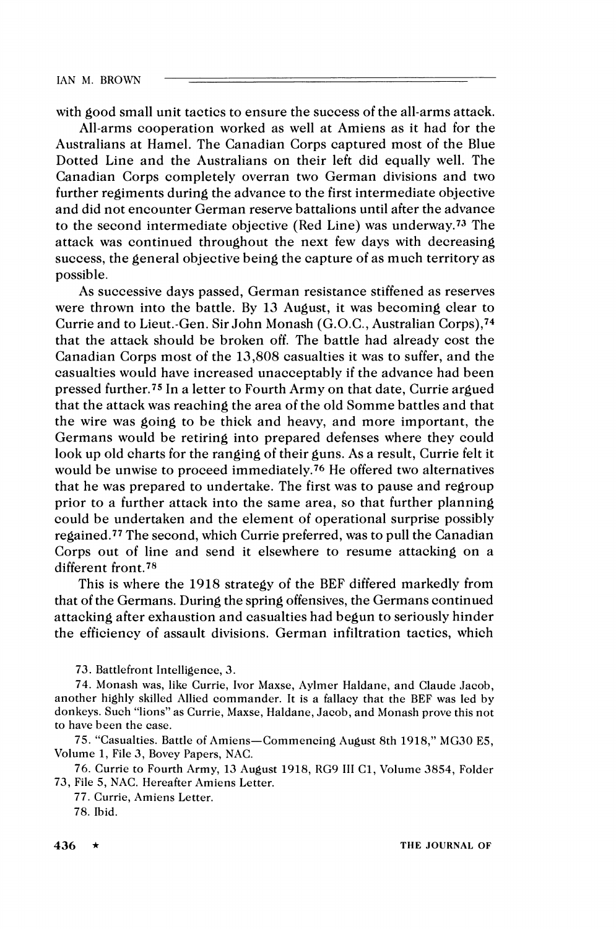with good small unit tactics to ensure the success of the all-arms attack.

All-arms cooperation worked as well at Amiens as it had for the Australians at Hamel. The Canadian Corps captured most of the Blue Dotted Line and the Australians on their left did equally well. The Canadian Corps completely overran two German divisions and two further regiments during the advance to the first intermediate objective and did not encounter German reserve battalions until after the advance to the second intermediate objective (Red Line) was underway.73 The attack was continued throughout the next few days with decreasing success, the general objective being the capture of as much territory as possible.

As successive days passed, German resistance stiffened as reserves were thrown into the battle. By 13 August, it was becoming clear to Currie and to Lieut.-Gen. Sir John Monash (G.O.C., Australian Corps),74 that the attack should be broken off. The battle had already cost the Canadian Corps most of the 13,808 casualties it was to suffer, and the casualties would have increased unacceptably if the advance had been pressed further.75 In a letter to Fourth Army on that date, Currie argued that the attack was reaching the area of the old Somme battles and that the wire was going to be thick and heavy, and more important, the Germans would be retiring into prepared defenses where they could look up old charts for the ranging of their guns. As a result, Currie felt it would be unwise to proceed immediately.76 He offered two alternatives that he was prepared to undertake. The first was to pause and regroup prior to a further attack into the same area, so that further planning could be undertaken and the element of operational surprise possibly regained.77 The second, which Currie preferred, was to pull the Canadian Corps out of line and send it elsewhere to resume attacking on a different front.78

This is where the 1918 strategy of the BEF differed markedly from that of the Germans. During the spring offensives, the Germans continued attacking after exhaustion and casualties had begun to seriously hinder the efficiency of assault divisions. German infiltration tactics, which

73. Battlefront Intelligence, 3.

74. Monash was, like Currie, Ivor Maxse, Aylmer Haldane, and Claude Jacob, another highly skilled Allied commander. It is a fallacy that the BEF was led by donkeys. Such "lions" as Currie, Maxse, Haldane, Jacob, and Monash prove this not to have been the case.

75. "Casualties. Battle of Amiens-Commencing August 8th 1918," MG30 E5, Volume 1, File 3, Bovey Papers, NAC.

76. Currie to Fourth Army, 13 August 1918, RG9 I11 C1, Volume 3854, Folder 73, File *5 ,* NAC. Hereafter Amiens Letter.

77. Currie, Amiens Letter.

78. Ibid.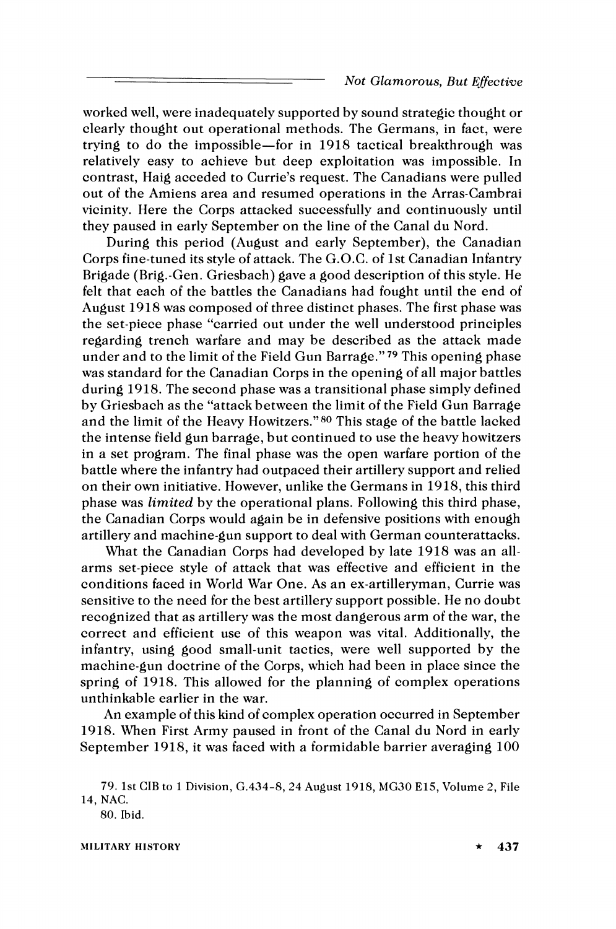worked well, were inadequately supported by sound strategic thought or clearly thought out operational methods. The Germans, in fact, were trying to do the impossible-for in 1918 tactical breakthrough was relatively easy to achieve but deep exploitation was impossible. In contrast, Haig acceded to Currie's request. The Canadians were pulled out of the Amiens area and resumed operations in the Arras-Cambrai vicinity. Here the Corps attacked successfully and continuously until they paused in early September on the line of the Canal du Nord.

During this period (August and early September), the Canadian Corps fine-tuned its style of attack. The G.O.C. of 1st Canadian Infantry Brigade (Brig.-Gen. Griesbach) gave a good description of this style. He felt that each of the battles the Canadians had fought until the end of August 1918 was composed of three distinct phases. The first phase was the set-piece phase "carried out under the well understood principles regarding trench warfare and may be described as the attack made under and to the limit of the Field Gun Barrage."79 This opening phase was standard for the Canadian Corps in the opening of all major battles during 1918. The second phase was a transitional phase simply defined by Griesbach as the "attack between the limit of the Field Gun Barrage and the limit of the Heavy Howitzers."80 This stage of the battle lacked the intense field gun barrage, but continued to use the heavy howitzers in a set program. The final phase was the open warfare portion of the battle where the infantry had outpaced their artillery support and relied on their own initiative. However, unlike the Germans in 1918, this third phase was **limited** by the operational plans. Following this third phase, the Canadian Corps would again be in defensive positions with enough artillery and machine-gun support to deal with German counterattacks.

What the Canadian Corps had developed by late 1918 was an allarms set-piece style of attack that was effective and efficient in the conditions faced in World War One. As an ex-artilleryman, Currie was sensitive to the need for the best artillery support possible. He no doubt recognized that as artillery was the most dangerous arm of the war, the correct and efficient use of this weapon was vital. Additionally, the infantry, using good small-unit tactics, were well supported by the machine-gun doctrine of the Corps, which had been in place since the spring of 1918. This allowed for the planning of complex operations unthinkable earlier in the war.

An example of this kind of complex operation occurred in September 1918. When First Army paused in front of the Canal du Nord in early September 1918, it was faced with a formidable barrier averaging 100

hlILlTARY HISTORY

<sup>79. 1</sup>st CIB to 1Division, (2.434-8, 24 August 1918, MG30 E15, Volume 2, File 14, NAC.

<sup>80.</sup> Ibid.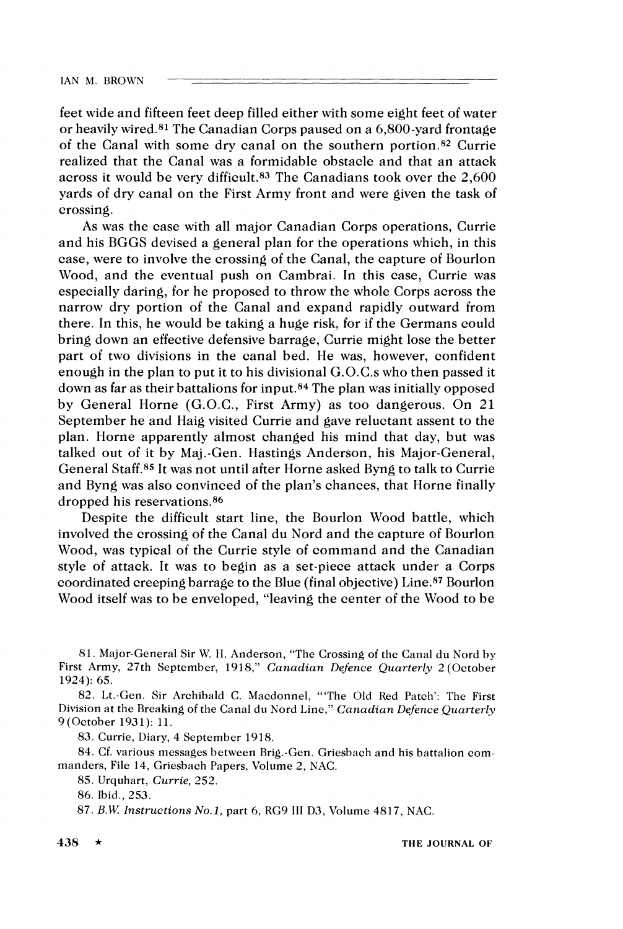feet wide and fifteen feet deep filled either with some eight feet of water or heavily wired.81 The Canadian Corps paused on a 6,800-yard frontage of the Canal with some dry canal on the southern portion.82 Currie realized that the Canal was a formidable obstacle and that an attack across it would be very difficult.<sup>83</sup> The Canadians took over the 2,600 yards of dry canal on the First Army front and were given the task of crossing.

As was the case with all major Canadian Corps operations, Currie and his BGGS devised a general plan for the operations which, in this case, were to involve the crossing of the Canal, the capture of Bourlon Wood, and the eventual push on Cambrai. In this case, Currie was especially daring, for he proposed to throw the whole Corps across the narrow dry portion of the Canal and expand rapidly outward from there. In this, he would be taking a huge risk, for if the Germans could bring down an effective defensive barrage, Currie might lose the better part of two divisions in the canal bed. He was, however, confident enough in the plan to put it to his divisional G.0.C.s who then passed it down as far as their battalions for input.84 The plan was initially opposed by General Horne (G.O.C., First Army) as too dangerous. On 21 September he and Haig visited Currie and gave reluctant assent to the plan. Horne apparently almost changed his mind that day, but was talked out of it by Maj.-Gen. Hastings Anderson, his Major-General, General Staff.85 It was not until after Horne asked Byng to talk to Currie and Byng was also convinced of the plan's chances, that Horne finally dropped his reservations.86

Despite the difficult start line, the Bourlon Wood battle, which involved the crossing of the Canal du Sord and the capture of Bourlon Wood, was typical of the Currie style of command and the Canadian style of attack. It was to begin as a set-piece attack under a Corps coordinated creeping barrage to the Blue (final objective) Line.87 Bourlon Wood itself was to be enveloped, "leaving the center of the Wood to be

**83.** Currie, Diary, **4** September **1918.** 

**84.** Cf. various messages between Brig.-Gen. Griesbach and his battalion commanders, File **14,** Griesbach Papers, Volume **2,** NAC.

**85.** Urquhart, Currie, **252.** 

**86.** Ibid., **253.** 

**<sup>81.</sup>** Major-General Sir *\Ir.* H. Anderson, "The Crossing of the Canal du Nord bv First Army, 27th September, 1918," Canadian Defence Quarterly 2 (October **1924): 65.** 

**<sup>82.</sup>** Lt.-Gen. Sir Archibald C. Macdonnel, "'The Old Red Patch': The First Division at the Breaking of the Canal du Nord Line," Canadian Defence Quarterly **9** (October **1931): 11.** 

**<sup>87.</sup>** B.lV Instructions *No.1,* part **6,** RG9 I11 **D3,** Volume **4817,** NAC.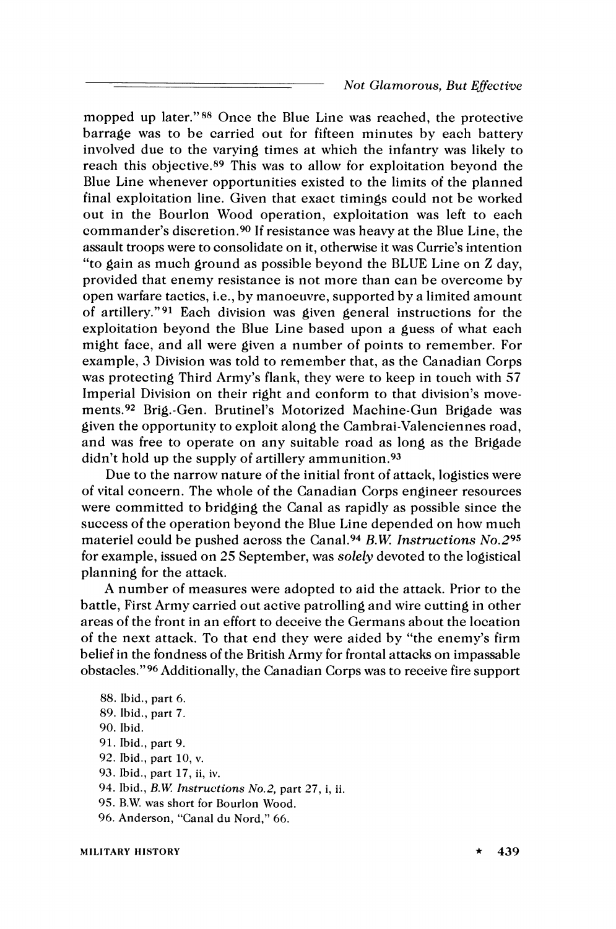mopped up later."88 Once the Blue Line was reached, the protective barrage was to be carried out for fifteen minutes by each battery involved due to the varying times at which the infantry was likely to reach this objective.89 This was to allow for exploitation beyond the Blue Line whenever opportunities existed to the limits of the planned final exploitation line. Given that exact timings could not be worked out in the Bourlon Wood operation, exploitation was left to each commander's discretion.90 If resistance was heavy at the Blue Line, the assault troops were to consolidate on it, otherwise it was Currie's intention "to gain as much ground as possible beyond the BLUE Line on Z day, provided that enemy resistance is not more than can be overcome by open warfare tactics, i.e., by manoeuvre, supported by a limited amount of artillery."<sup>91</sup> Each division was given general instructions for the exploitation beyond the Blue Line based upon a guess of what each might face, and all were given a number of points to remember. For example, *3* Division was told to remember that, as the Canadian Corps was protecting Third Army's flank, they were to keep in touch with 57 Imperial Division on their right and conform to that division's movements.92 Brig.-Gen. Brutinel's Motorized Machine-Gun Brigade was given the opportunity to exploit along the Cambrai-Valenciennes road, and was free to operate on any suitable road as long as the Brigade didn't hold up the supply of artillery ammunition.<sup>93</sup>

Due to the narrow nature of the initial front of attack, logistics were of vital concern. The whole of the Canadian Corps engineer resources were committed to bridging the Canal as rapidly as possible since the success of the operation beyond the Blue Line depended on how much materiel could be pushed across the Cana1.94 *B.W* Instructions No.295 for example, issued on 25 September, was solely devoted to the logistical planning for the attack.

A number of measures were adopted to aid the attack. Prior to the battle, First Army carried out active patrolling and wire cutting in other areas of the front in an effort to deceive the Germans about the location of the next attack. To that end they were aided by "the enemy's firm belief in the fondness of the British Army for frontal attacks on impassable obstacles."96 Additionally, the Canadian Corps was to receive fire support

88. Ibid., part 6. 89. Ibid., part **7.**  90. Ibid. 91. Ibid., part 9. 92. Ibid., part 10, v. 93. Ibid., part 17, ii, iv. 94. Ibid., *B.W* Instructions *No.2,* part 27, i, ii 95. B.W. was short for Bourlon Wood. 96. Anderson, "Canal du Nord," 66.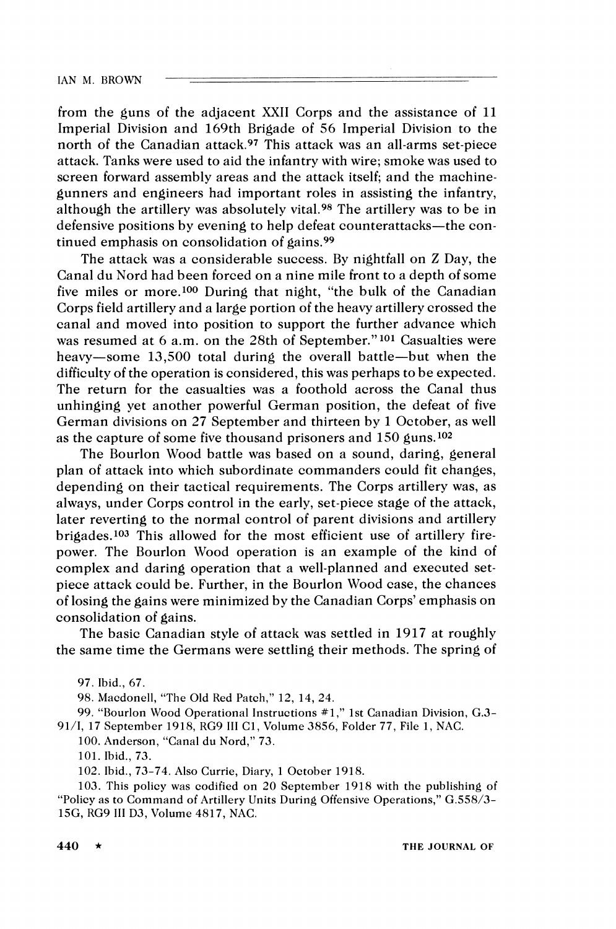from the guns of the adjacent XXII Corps and the assistance of 11 Imperial Division and 169th Brigade of 56 Imperial Division to the north of the Canadian attack.97 This attack was an all-arms set-piece attack. Tanks were used to aid the infantry with wire; smoke was used to screen forward assembly areas and the attack itself; and the machinegunners and engineers had important roles in assisting the infantry, although the artillery was absolutely vital.98 The artillery was to be in defensive positions by evening to help defeat counterattacks—the continued emphasis on consolidation of gains.99

The attack was a considerable success. By nightfall on Z Day, the Canal du Sord had been forced on a nine mile front to a depth of some five miles or more.100 During that night, "the bulk of the Canadian Corps field artillery and a large portion of the heavy artillery crossed the canal and moved into position to support the further advance which was resumed at  $6$  a.m. on the 28th of September."<sup>101</sup> Casualties were heavy-some 13,500 total during the overall battle-but when the difficulty of the operation is considered, this was perhaps to be expected. The return for the casualties was a foothold across the Canal thus unhinging yet another powerful German position, the defeat of five German divisions on 27 September and thirteen by 1 October, as well as the capture of some five thousand prisoners and  $150$  guns.<sup>102</sup>

The Bourlon Wood battle was based on a sound, daring, general plan of attack into which subordinate commanders could fit changes, depending on their tactical requirements. The Corps artillery was, as always, under Corps control in the early, set-piece stage of the attack, later reverting to the normal control of parent divisions and artillery brigades.103 This allowed for the most efficient use of artillery firepower. The Bourlon IVood operation is an example of the kind of complex and daring operation that a well-planned and executed setpiece attack could be. Further, in the Bourlon Wood case, the chances of losing the gains were minimized by the Canadian Corps' emphasis on consolidation of gains.

The basic Canadian style of attack was settled in 1917 at roughly the same time the Germans were settling their methods. The spring of

97. Ibid., 67.

98. Macdonell, "The Old Red Patch," 12, 14, 24.

99. "Bourlon Wood Operational Instructions #1," 1st Canadian Division, G.3-91/1, 17 September 1918, RG9 111 C1, Volume 3856, Folder 77, File 1, NAC.

100.Anderson, "Canal du Nord," 73.

101. Ibid., 73.

102. Ibid., 73-74. Also Currie, Diary, 1 October 1918.

103. This policy was codified on 20 September 1918 with the publishing of "Policy as to Command of Artillery Units During Offensive Operations," G.5581'3- 15G, RG9 III D3, Volume 4817, NAC.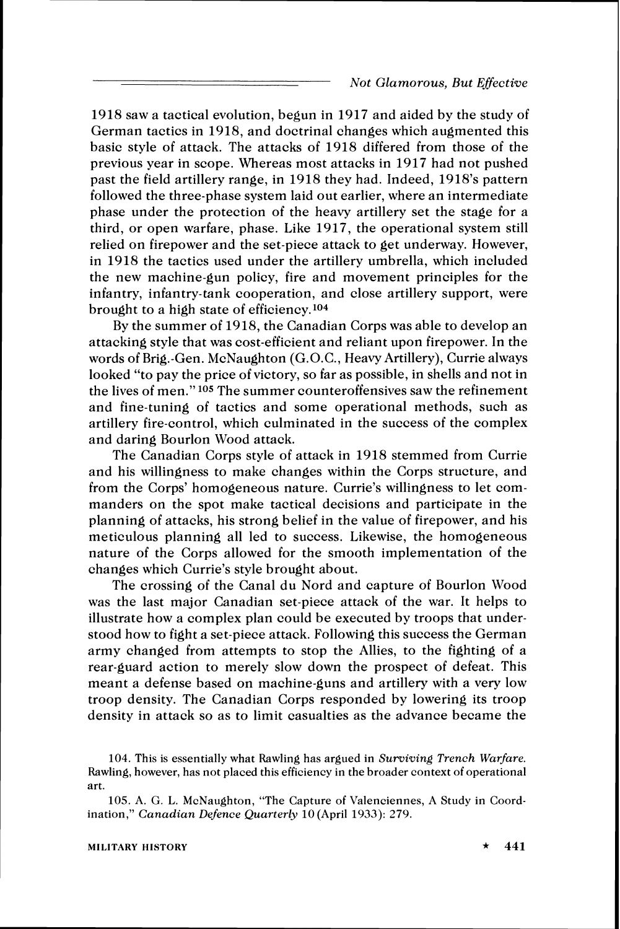1918 saw a tactical evolution, begun in 1917 and aided by the study of German tactics in 1918, and doctrinal changes which augmented this basic style of attack. The attacks of 1918 differed from those of the previous year in scope. Whereas most attacks in 1917 had not pushed past the field artillery range, in 1918 they had. Indeed, 1918's pattern followed the three-phase system laid out earlier, where an intermediate phase under the protection of the heavy artillery set the stage for a third, or open warfare, phase. Like 1917, the operational system still relied on firepower and the set-piece attack to get underway. However, in 1918 the tactics used under the artillery umbrella, which included the new machine-gun policy, fire and movement principles for the infantry, infantry-tank cooperation, and close artillery support, were brought to a high state of efficiency.104

By the summer of 1918, the Canadian Corps was able to develop an attacking style that was cost-efficient and reliant upon firepower. In the words of Brig.-Gen. McNaughton (G.O.C., Heavy Artillery), Currie always looked "to pay the price of victory, so far as possible, in shells and not in the lives of men." 105 The summer counteroffensives saw the refinement and fine-tuning of tactics and some operational methods, such as artillery fire-control, which culminated in the success of the complex and daring Bourlon Wood attack.

The Canadian Corps style of attack in 1918 stemmed from Currie and his willingness to make changes within the Corps structure, and from the Corps' homogeneous nature. Currie's willingness to let commanders on the spot make tactical decisions and participate in the planning of attacks, his strong belief in the value of firepower, and his meticulous planning all led to success. Likewise, the homogeneous nature of the Corps allowed for the smooth implementation of the changes which Currie's style brought about.

The crossing of the Canal du Nord and capture of Bourlon Wood was the last major Canadian set-piece attack of the war. It helps to illustrate how a complex plan could be executed by troops that understood how to fight a set-piece attack. Following this success the German army changed from attempts to stop the Allies, to the fighting of a rear-guard action to merely slow down the prospect of defeat. This meant a defense based on machine-guns and artillery with a very low troop density. The Canadian Corps responded by lowering its troop density in attack so as to limit casualties as the advance became the

104. This is essentially what Rawling has argued in Surviving Trench Warfare. Rawling, however, has not placed this efficiency in the broader context of operational art.

<sup>105.</sup> A. G. L. McNaughton, "The Capture of Valenciennes, A Study in Coordination," Canadian Defence Quarterly 10(April 1933):**279.**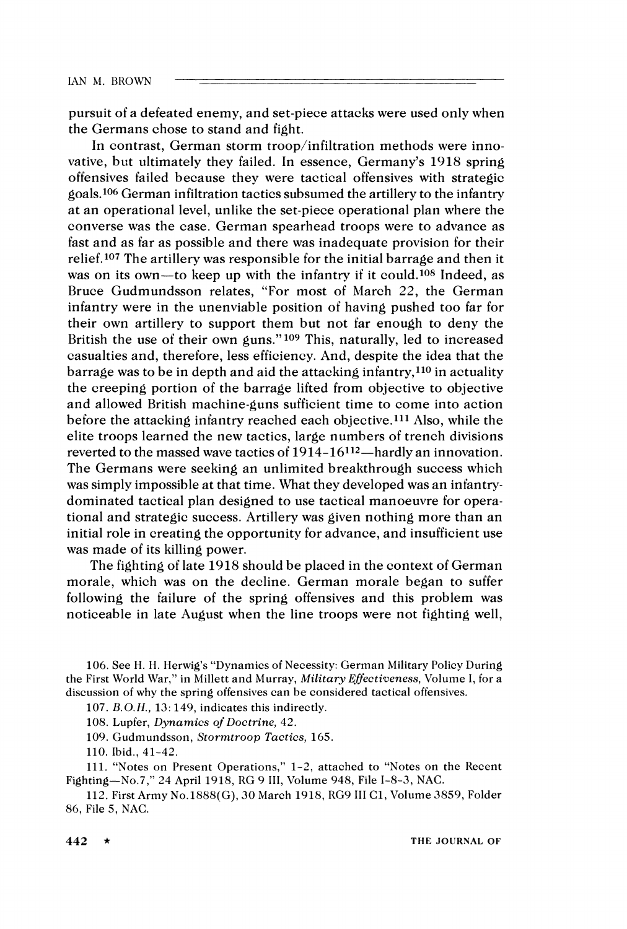pursuit of a defeated enemy, and set-piece attacks were used only when the Germans chose to stand and fight.

In contrast, German storm troop/infiltration methods were innovative, but ultimately they failed. In essence, Germany's 1918 spring offensives failed because they were tactical offensives with strategic goals.106 German infiltration tactics subsumed the artillery to the infantry at an operational level, unlike the set-piece operational plan where the converse was the case. German spearhead troops were to advance as fast and as far as possible and there was inadequate provision for their relief.<sup>107</sup> The artillery was responsible for the initial barrage and then it was on its own-to keep up with the infantry if it could.<sup>108</sup> Indeed, as Bruce Gudmundsson relates, "For most of March 22, the German infantry were in the unenviable position of having pushed too far for their own artillery to support them but not far enough to deny the British the use of their own guns."<sup>109</sup> This, naturally, led to increased casualties and, therefore, less efficiency. And, despite the idea that the barrage was to be in depth and aid the attacking infantry,<sup>110</sup> in actuality the creeping portion of the barrage lifted from objective to objective and allowed British machine-guns sufficient time to come into action before the attacking infantry reached each objective.111 Also, while the elite troops learned the new tactics, large numbers of trench divisions reverted to the massed wave tactics of  $1914-16^{112}$ —hardly an innovation. The Germans were seeking an unlimited breakthrough success which was simply impossible at that time. What they developed was an infantrydominated tactical plan designed to use tactical manoeuvre for operational and strategic success. Artillery was given nothing more than an initial role in creating the opportunity for advance, and insufficient use was made of its killing power.

The fighting of late 1918 should be placed in the context of German morale, which was on the decline. German morale began to suffer following the failure of the spring offensives and this problem was noticeable in late August when the line troops were not fighting well,

106. See H. **II.** Herwig's "Dynamics of Necessity: German Military Policy During the First World \\'ax-," in hlillett and Murray, *Military Efiectiveness,* Volume I, for a discussion of why the spring offensives can be considered tactical offensives.

107. B.*0.*H., 13: 149, indicates this indirectly.

108. Lupfer, *Dynamics oj' Doctrine,* 42.

109. Gudmundsson, *Stormtroop Tactics,* 165.

110. Ibid., 41-42.

111. "Notes on Present Operations," 1-2, attached to "Notes on the Recent Fighting-No.7," 24 April 1918, RG 9 III, Volume 948, File I-8-3, NAC.

112. First Army No.1888(G), 30 March 1918, RG9 III C1, Volume 3859, Folder 86, File 5, NAC.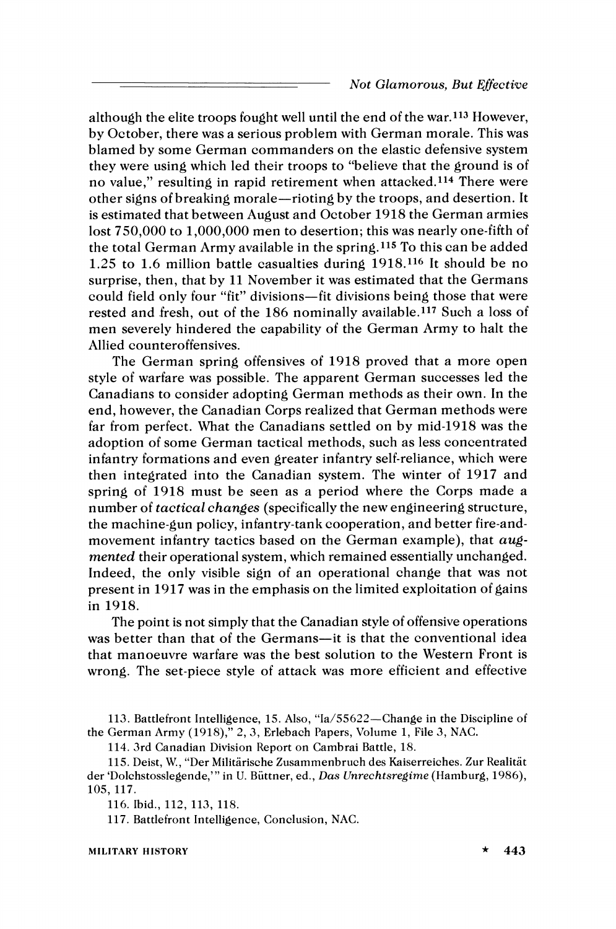although the elite troops fought well until the end of the war.<sup>113</sup> However, by October, there was a serious problem with German morale. This was blamed by some German commanders on the elastic defensive system they were using which led their troops to "believe that the ground is of no value," resulting in rapid retirement when attacked.114 There were other signs of breaking morale-rioting by the troops, and desertion. It is estimated that between August and October 1918 the German armies lost 750,000 to 1,000,000 men to desertion; this was nearly one-fifth of the total German Army available in the spring.115 To this can be added 1.25 to 1.6 million battle casualties during 1918.116 It should be no surprise, then, that by 11 November it was estimated that the Germans could field only four "fit" divisions-fit divisions being those that were rested and fresh, out of the 186 nominally available.117 Such a loss of men severely hindered the capability of the German Army to halt the Allied counteroffensives.

The German spring offensives of 1918 proved that a more open style of warfare was possible. The apparent German successes led the Canadians to consider adopting German methods as their own. In the end, however, the Canadian Corps realized that German methods were far from perfect. What the Canadians settled on by mid-1918 was the adoption of some German tactical methods, such as less concentrated infantry formations and even greater infantry self-reliance, which were then integrated into the Canadian system. The winter of 1917 and spring of 1918 must be seen as a period where the Corps made a number of *tactical changes* (specifically the new engineering structure, the machine-gun policy, infantry-tank cooperation, and better fire-andmovement infantry tactics based on the German example), that *augmented* their operational system, which remained essentially unchanged. Indeed, the only visible sign of an operational change that was not present in 1917 was in the emphasis on the limited exploitation of gains in 1918.

The point is not simply that the Canadian style of offensive operations was better than that of the Germans—it is that the conventional idea that manoeuvre warfare was the best solution to the Western Front is wrong. The set-piece style of attack was more efficient and effective

113. Battlefront Intelligence, 15. Also, "Ia/55622-Change in the Discipline of the German Army (1918)," 2, 3, Erlebach Papers, Volume 1, File 3, NAC.

114. 3rd Canadian Division Report on Cambrai Battle, 18.

115. Deist, W., "Der Militarische Zusammenbruch des Kaiserreiches. Zur Realitat der 'Dolchstosslegende,'" in U. Biittner, ed., *Das Crnrechtsregime* (Hamburg, 1986), 105, 117.

116. Ibid., 112, 113, 118.

117. Battlefront Intelligence, Conclusion, NAC.

MILITARY HISTORY